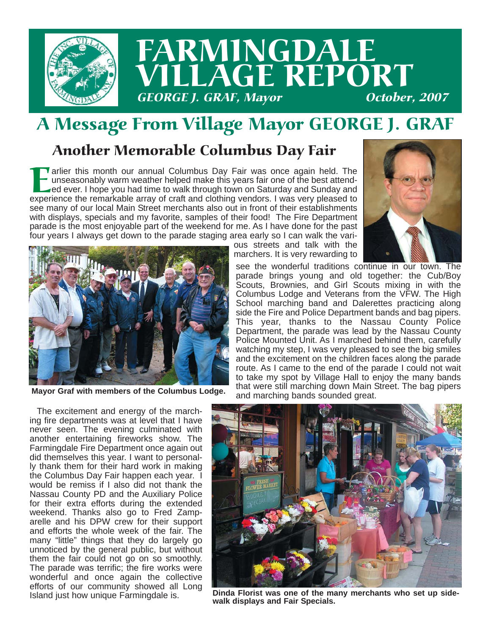

### A Message From Village Mayor GEORGE J. GRAF

#### Another Memorable Columbus Day Fair

**Earlier this month our annual Columbus Day Fair was once again held. The unseasonably warm weather helped make this years fair one of the best attended ever. I hope you had time to walk through town on Saturday and Sunday** unseasonably warm weather helped make this years fair one of the best attended ever. I hope you had time to walk through town on Saturday and Sunday and see many of our local Main Street merchants also out in front of their establishments with displays, specials and my favorite, samples of their food! The Fire Department parade is the most enjoyable part of the weekend for me. As I have done for the past four years I always get down to the parade staging area early so I can walk the vari-







**Mayor Graf with members of the Columbus Lodge.**

The excitement and energy of the marching fire departments was at level that I have never seen. The evening culminated with another entertaining fireworks show. The Farmingdale Fire Department once again out did themselves this year. I want to personally thank them for their hard work in making the Columbus Day Fair happen each year. I would be remiss if I also did not thank the Nassau County PD and the Auxiliary Police for their extra efforts during the extended weekend. Thanks also go to Fred Zamparelle and his DPW crew for their support and efforts the whole week of the fair. The many "little" things that they do largely go unnoticed by the general public, but without them the fair could not go on so smoothly. The parade was terrific; the fire works were wonderful and once again the collective efforts of our community showed all Long Island just how unique Farmingdale is.

see the wonderful traditions continue in our town. The parade brings young and old together: the Cub/Boy Scouts, Brownies, and Girl Scouts mixing in with the Columbus Lodge and Veterans from the VFW. The High School marching band and Dalerettes practicing along side the Fire and Police Department bands and bag pipers. This year, thanks to the Nassau County Police Department, the parade was lead by the Nassau County Police Mounted Unit. As I marched behind them, carefully watching my step, I was very pleased to see the big smiles and the excitement on the children faces along the parade route. As I came to the end of the parade I could not wait to take my spot by Village Hall to enjoy the many bands that were still marching down Main Street. The bag pipers and marching bands sounded great.



**Dinda Florist was one of the many merchants who set up sidewalk displays and Fair Specials.**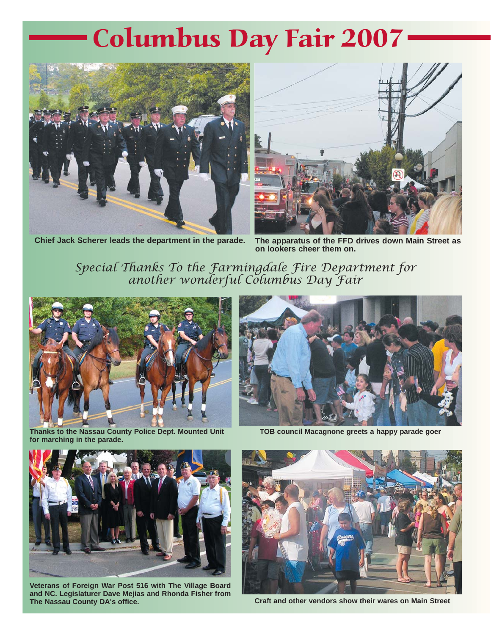## Columbus Day Fair 2007



**Chief Jack Scherer leads the department in the parade.** 



**The apparatus of the FFD drives down Main Street as on lookers cheer them on.**

*Special Thanks To the Farmingdale Fire Department for another wonderful Columbus Day Fair*





**TOB council Macagnone greets a happy parade goer**



**for marching in the parade.**

**Veterans of Foreign War Post 516 with The Village Board and NC. Legislaturer Dave Mejias and Rhonda Fisher from The Nassau County DA's office.**



**Craft and other vendors show their wares on Main Street**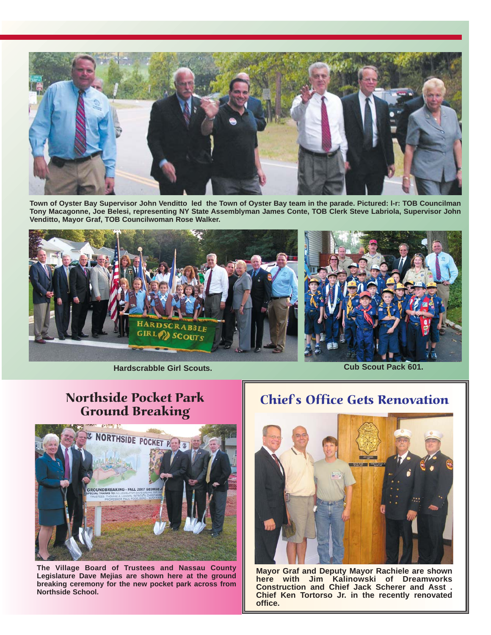

**Town of Oyster Bay Supervisor John Venditto led the Town of Oyster Bay team in the parade. Pictured: l-r: TOB Councilman Tony Macagonne, Joe Belesi, representing NY State Assemblyman James Conte, TOB Clerk Steve Labriola, Supervisor John Venditto, Mayor Graf, TOB Councilwoman Rose Walker.**



**Hardscrabble Girl Scouts. Cub Scout Pack 601.**

#### Northside Pocket Park Ground Breaking



**The Village Board of Trustees and Nassau County Legislature Dave Mejias are shown here at the ground breaking ceremony for the new pocket park across from Northside School.**

#### Chief's Office Gets Renovation



**Mayor Graf and Deputy Mayor Rachiele are shown here with Jim Kalinowski of Dreamworks Construction and Chief Jack Scherer and Asst . Chief Ken Tortorso Jr. in the recently renovated office.**